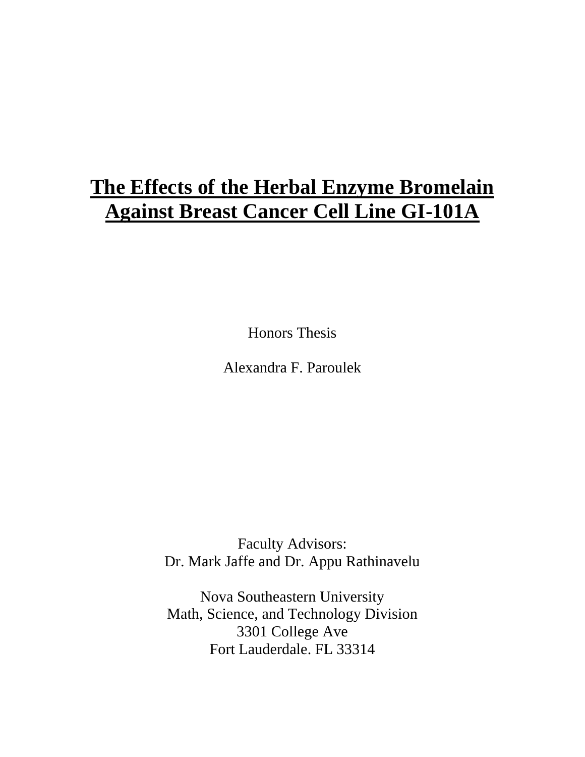## **The Effects of the Herbal Enzyme Bromelain Against Breast Cancer Cell Line GI-101A**

Honors Thesis

Alexandra F. Paroulek

Faculty Advisors: Dr. Mark Jaffe and Dr. Appu Rathinavelu

Nova Southeastern University Math, Science, and Technology Division 3301 College Ave Fort Lauderdale. FL 33314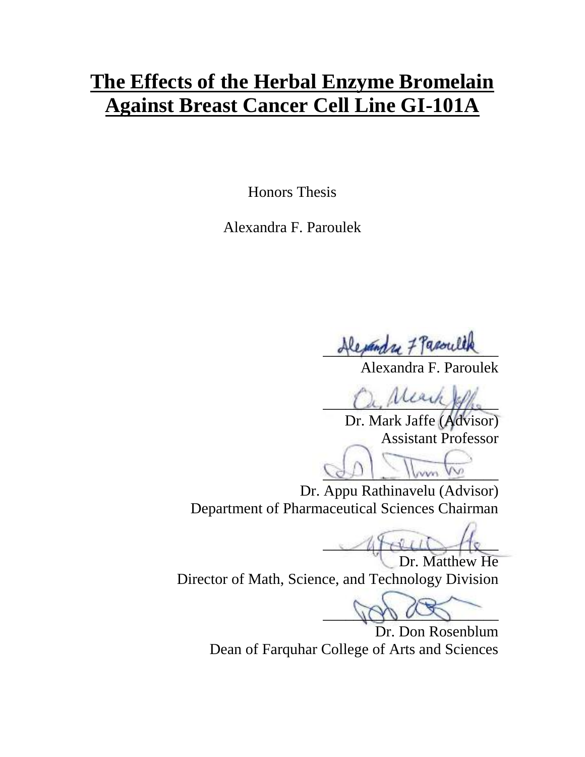## **The Effects of the Herbal Enzyme Bromelain Against Breast Cancer Cell Line GI-101A**

Honors Thesis

Alexandra F. Paroulek

Rejandry 7 Paroule

Alexandra F. Paroulek

 $a, \mu$ 

Dr. Mark Jaffe (Advisor) Assistant Professor

 $Q_1 = \frac{1}{2}$ 

Dr. Appu Rathinavelu (Advisor) Department of Pharmaceutical Sciences Chairman

 $4 + 4$ Dr. Matthew He

Director of Math, Science, and Technology Division

 $\Delta$ 

Dr. Don Rosenblum Dean of Farquhar College of Arts and Sciences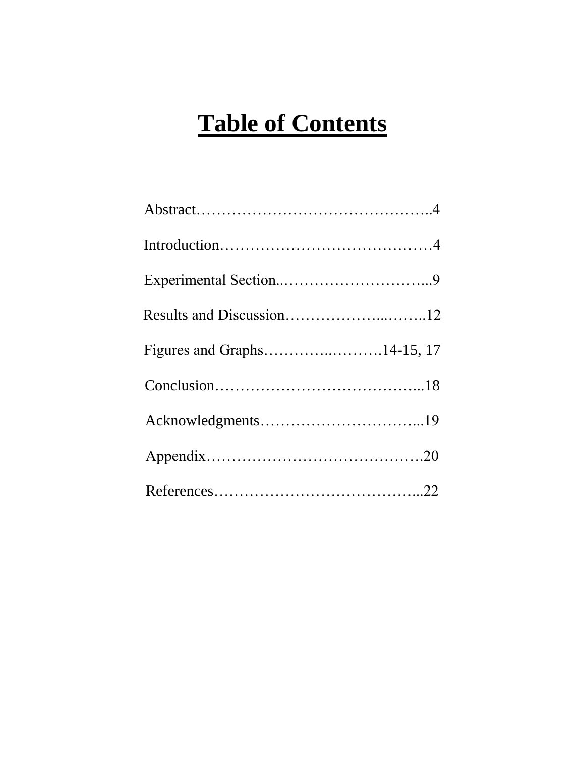# **Table of Contents**

| Figures and Graphs14-15, 17 |  |
|-----------------------------|--|
|                             |  |
|                             |  |
|                             |  |
|                             |  |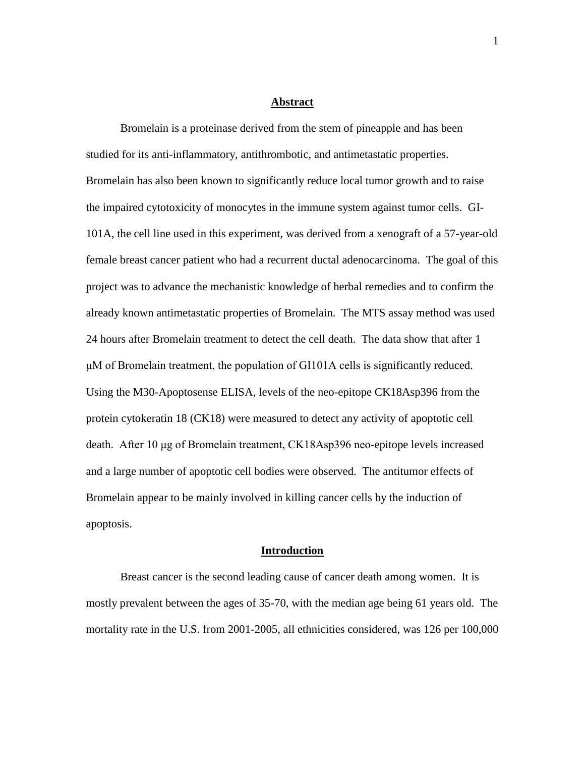#### **Abstract**

Bromelain is a proteinase derived from the stem of pineapple and has been studied for its anti-inflammatory, antithrombotic, and antimetastatic properties. Bromelain has also been known to significantly reduce local tumor growth and to raise the impaired cytotoxicity of monocytes in the immune system against tumor cells. GI-101A, the cell line used in this experiment, was derived from a xenograft of a 57-year-old female breast cancer patient who had a recurrent ductal adenocarcinoma. The goal of this project was to advance the mechanistic knowledge of herbal remedies and to confirm the already known antimetastatic properties of Bromelain. The MTS assay method was used 24 hours after Bromelain treatment to detect the cell death. The data show that after 1 μM of Bromelain treatment, the population of GI101A cells is significantly reduced. Using the M30-Apoptosense ELISA, levels of the neo-epitope CK18Asp396 from the protein cytokeratin 18 (CK18) were measured to detect any activity of apoptotic cell death. After 10 μg of Bromelain treatment, CK18Asp396 neo-epitope levels increased and a large number of apoptotic cell bodies were observed. The antitumor effects of Bromelain appear to be mainly involved in killing cancer cells by the induction of apoptosis.

#### **Introduction**

Breast cancer is the second leading cause of cancer death among women. It is mostly prevalent between the ages of 35-70, with the median age being 61 years old. The mortality rate in the U.S. from 2001-2005, all ethnicities considered, was 126 per 100,000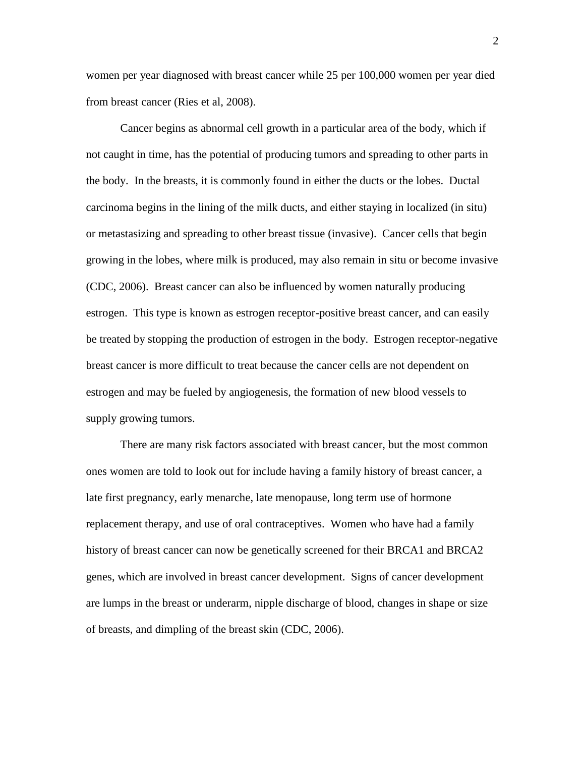women per year diagnosed with breast cancer while 25 per 100,000 women per year died from breast cancer (Ries et al, 2008).

Cancer begins as abnormal cell growth in a particular area of the body, which if not caught in time, has the potential of producing tumors and spreading to other parts in the body. In the breasts, it is commonly found in either the ducts or the lobes. Ductal carcinoma begins in the lining of the milk ducts, and either staying in localized (in situ) or metastasizing and spreading to other breast tissue (invasive). Cancer cells that begin growing in the lobes, where milk is produced, may also remain in situ or become invasive (CDC, 2006). Breast cancer can also be influenced by women naturally producing estrogen. This type is known as estrogen receptor-positive breast cancer, and can easily be treated by stopping the production of estrogen in the body. Estrogen receptor-negative breast cancer is more difficult to treat because the cancer cells are not dependent on estrogen and may be fueled by angiogenesis, the formation of new blood vessels to supply growing tumors.

There are many risk factors associated with breast cancer, but the most common ones women are told to look out for include having a family history of breast cancer, a late first pregnancy, early menarche, late menopause, long term use of hormone replacement therapy, and use of oral contraceptives. Women who have had a family history of breast cancer can now be genetically screened for their BRCA1 and BRCA2 genes, which are involved in breast cancer development. Signs of cancer development are lumps in the breast or underarm, nipple discharge of blood, changes in shape or size of breasts, and dimpling of the breast skin (CDC, 2006).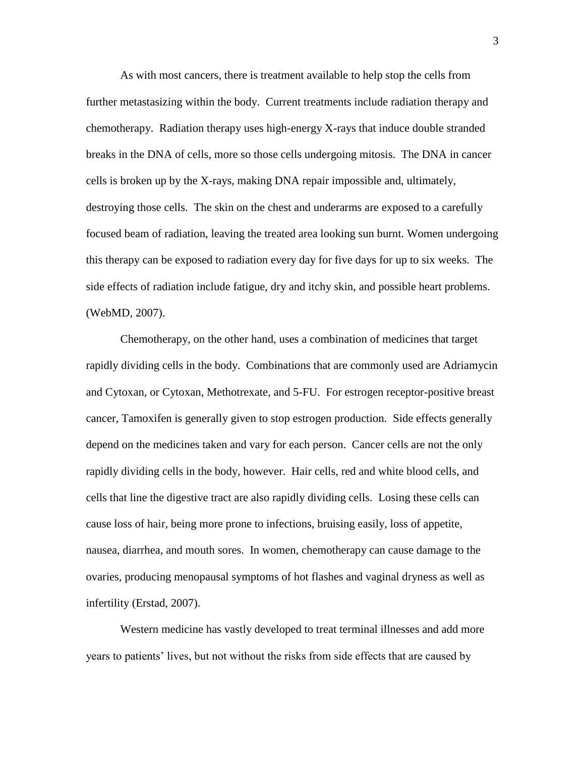As with most cancers, there is treatment available to help stop the cells from further metastasizing within the body. Current treatments include radiation therapy and chemotherapy. Radiation therapy uses high-energy X-rays that induce double stranded breaks in the DNA of cells, more so those cells undergoing mitosis. The DNA in cancer cells is broken up by the X-rays, making DNA repair impossible and, ultimately, destroying those cells. The skin on the chest and underarms are exposed to a carefully focused beam of radiation, leaving the treated area looking sun burnt. Women undergoing this therapy can be exposed to radiation every day for five days for up to six weeks. The side effects of radiation include fatigue, dry and itchy skin, and possible heart problems. (WebMD, 2007).

Chemotherapy, on the other hand, uses a combination of medicines that target rapidly dividing cells in the body. Combinations that are commonly used are Adriamycin and Cytoxan, or Cytoxan, Methotrexate, and 5-FU. For estrogen receptor-positive breast cancer, Tamoxifen is generally given to stop estrogen production. Side effects generally depend on the medicines taken and vary for each person. Cancer cells are not the only rapidly dividing cells in the body, however. Hair cells, red and white blood cells, and cells that line the digestive tract are also rapidly dividing cells. Losing these cells can cause loss of hair, being more prone to infections, bruising easily, loss of appetite, nausea, diarrhea, and mouth sores. In women, chemotherapy can cause damage to the ovaries, producing menopausal symptoms of hot flashes and vaginal dryness as well as infertility (Erstad, 2007).

Western medicine has vastly developed to treat terminal illnesses and add more years to patients' lives, but not without the risks from side effects that are caused by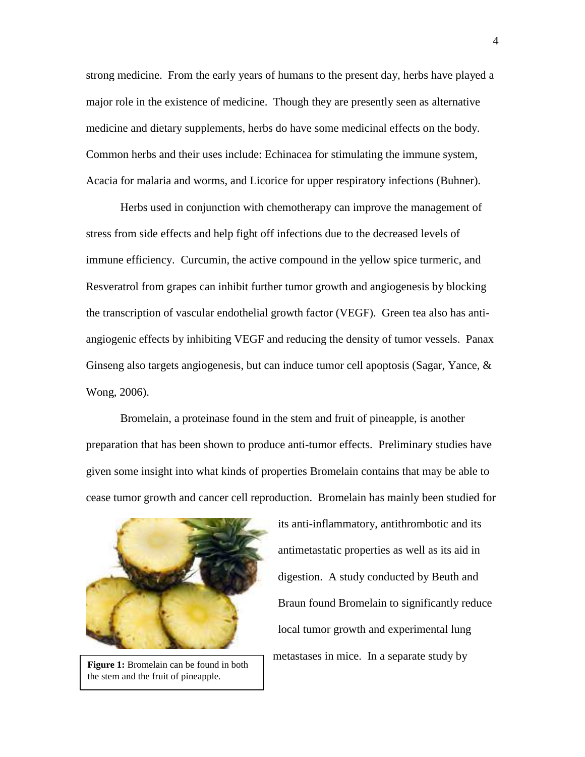strong medicine. From the early years of humans to the present day, herbs have played a major role in the existence of medicine. Though they are presently seen as alternative medicine and dietary supplements, herbs do have some medicinal effects on the body. Common herbs and their uses include: Echinacea for stimulating the immune system, Acacia for malaria and worms, and Licorice for upper respiratory infections (Buhner).

Herbs used in conjunction with chemotherapy can improve the management of stress from side effects and help fight off infections due to the decreased levels of immune efficiency. Curcumin, the active compound in the yellow spice turmeric, and Resveratrol from grapes can inhibit further tumor growth and angiogenesis by blocking the transcription of vascular endothelial growth factor (VEGF). Green tea also has antiangiogenic effects by inhibiting VEGF and reducing the density of tumor vessels. Panax Ginseng also targets angiogenesis, but can induce tumor cell apoptosis (Sagar, Yance,  $\&$ Wong, 2006).

Bromelain, a proteinase found in the stem and fruit of pineapple, is another preparation that has been shown to produce anti-tumor effects. Preliminary studies have given some insight into what kinds of properties Bromelain contains that may be able to cease tumor growth and cancer cell reproduction. Bromelain has mainly been studied for



**Figure 1:** Bromelain can be found in both the stem and the fruit of pineapple.

its anti-inflammatory, antithrombotic and its antimetastatic properties as well as its aid in digestion. A study conducted by Beuth and Braun found Bromelain to significantly reduce local tumor growth and experimental lung metastases in mice. In a separate study by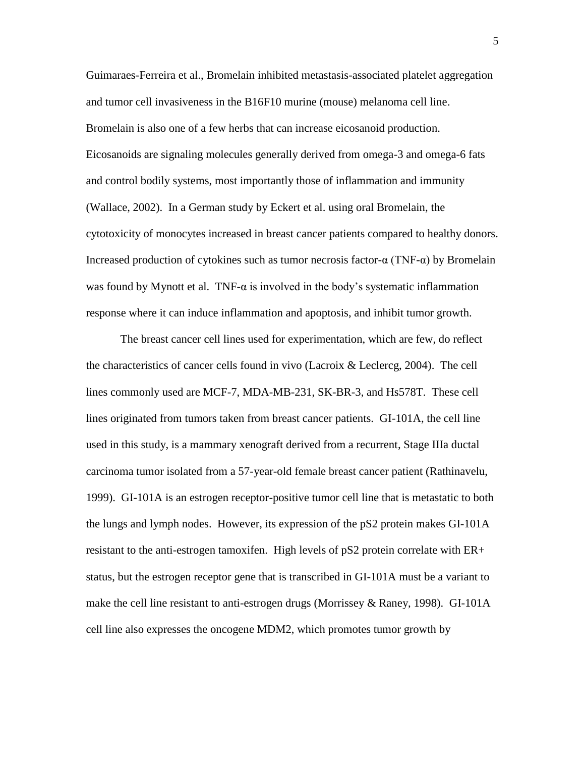Guimaraes-Ferreira et al., Bromelain inhibited metastasis-associated platelet aggregation and tumor cell invasiveness in the B16F10 murine (mouse) melanoma cell line. Bromelain is also one of a few herbs that can increase eicosanoid production. Eicosanoids are signaling molecules generally derived from omega-3 and omega-6 fats and control bodily systems, most importantly those of inflammation and immunity (Wallace, 2002). In a German study by Eckert et al. using oral Bromelain, the cytotoxicity of monocytes increased in breast cancer patients compared to healthy donors. Increased production of cytokines such as tumor necrosis factor-α (TNF-α) by Bromelain was found by Mynott et al. TNF- $\alpha$  is involved in the body's systematic inflammation response where it can induce inflammation and apoptosis, and inhibit tumor growth.

The breast cancer cell lines used for experimentation, which are few, do reflect the characteristics of cancer cells found in vivo (Lacroix & Leclercg, 2004). The cell lines commonly used are MCF-7, MDA-MB-231, SK-BR-3, and Hs578T. These cell lines originated from tumors taken from breast cancer patients. GI-101A, the cell line used in this study, is a mammary xenograft derived from a recurrent, Stage IIIa ductal carcinoma tumor isolated from a 57-year-old female breast cancer patient (Rathinavelu, 1999). GI-101A is an estrogen receptor-positive tumor cell line that is metastatic to both the lungs and lymph nodes. However, its expression of the pS2 protein makes GI-101A resistant to the anti-estrogen tamoxifen. High levels of pS2 protein correlate with ER+ status, but the estrogen receptor gene that is transcribed in GI-101A must be a variant to make the cell line resistant to anti-estrogen drugs (Morrissey & Raney, 1998). GI-101A cell line also expresses the oncogene MDM2, which promotes tumor growth by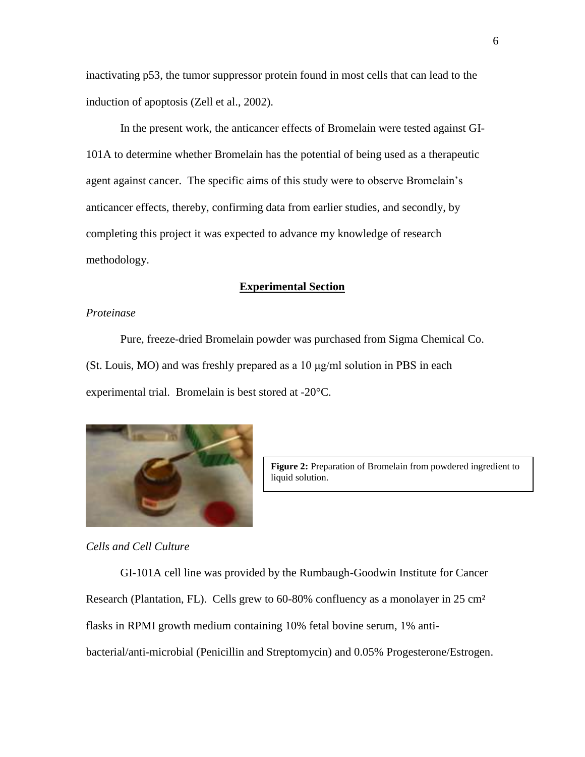inactivating p53, the tumor suppressor protein found in most cells that can lead to the induction of apoptosis (Zell et al., 2002).

In the present work, the anticancer effects of Bromelain were tested against GI-101A to determine whether Bromelain has the potential of being used as a therapeutic agent against cancer. The specific aims of this study were to observe Bromelain's anticancer effects, thereby, confirming data from earlier studies, and secondly, by completing this project it was expected to advance my knowledge of research methodology.

#### **Experimental Section**

#### *Proteinase*

Pure, freeze-dried Bromelain powder was purchased from Sigma Chemical Co. (St. Louis, MO) and was freshly prepared as a 10 μg/ml solution in PBS in each experimental trial. Bromelain is best stored at -20°C.



**Figure 2:** Preparation of Bromelain from powdered ingredient to liquid solution.

*Cells and Cell Culture*

GI-101A cell line was provided by the Rumbaugh-Goodwin Institute for Cancer Research (Plantation, FL). Cells grew to 60-80% confluency as a monolayer in 25 cm² flasks in RPMI growth medium containing 10% fetal bovine serum, 1% antibacterial/anti-microbial (Penicillin and Streptomycin) and 0.05% Progesterone/Estrogen.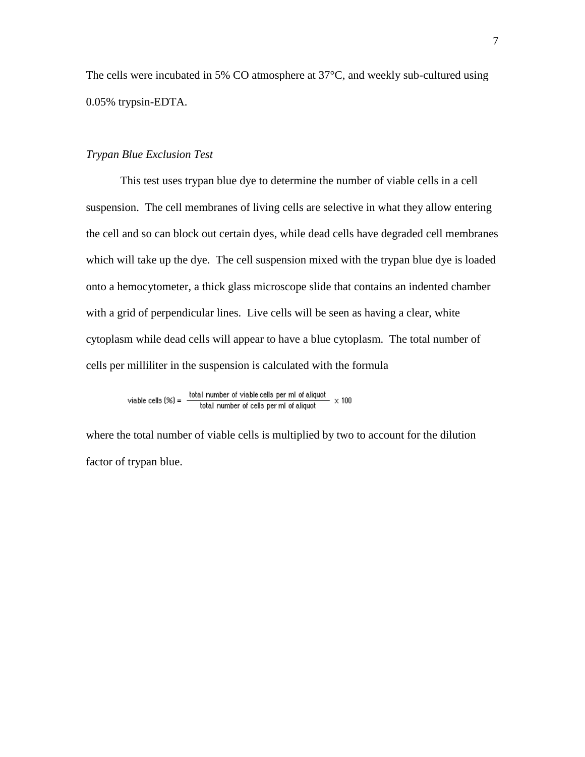The cells were incubated in 5% CO atmosphere at 37°C, and weekly sub-cultured using 0.05% trypsin-EDTA.

#### *Trypan Blue Exclusion Test*

This test uses trypan blue dye to determine the number of viable cells in a cell suspension. The cell membranes of living cells are selective in what they allow entering the cell and so can block out certain dyes, while dead cells have degraded cell membranes which will take up the dye. The cell suspension mixed with the trypan blue dye is loaded onto a hemocytometer, a thick glass microscope slide that contains an indented chamber with a grid of perpendicular lines. Live cells will be seen as having a clear, white cytoplasm while dead cells will appear to have a blue cytoplasm. The total number of cells per milliliter in the suspension is calculated with the formula

viable cells (%) =  $\frac{\text{total number of viable cells per ml of aliquot}}{\text{total number of cells per ml of aliquot}} \times 100$ 

where the total number of viable cells is multiplied by two to account for the dilution factor of trypan blue.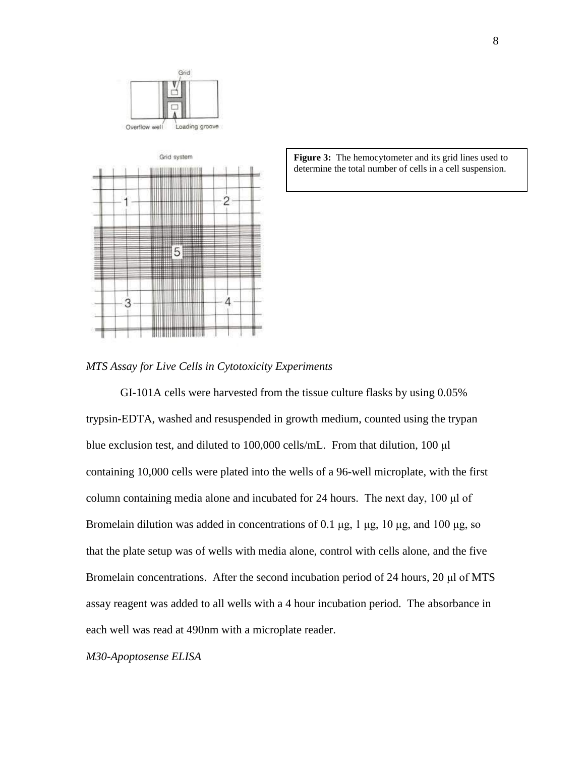



Figure 3: The hemocytometer and its grid lines used to determine the total number of cells in a cell suspension.

*MTS Assay for Live Cells in Cytotoxicity Experiments*

GI-101A cells were harvested from the tissue culture flasks by using 0.05% trypsin-EDTA, washed and resuspended in growth medium, counted using the trypan blue exclusion test, and diluted to 100,000 cells/mL. From that dilution, 100 μl containing 10,000 cells were plated into the wells of a 96-well microplate, with the first column containing media alone and incubated for 24 hours. The next day, 100 μl of Bromelain dilution was added in concentrations of 0.1 μg,  $1 \mu$ g,  $10 \mu$ g, and  $100 \mu$ g, so that the plate setup was of wells with media alone, control with cells alone, and the five Bromelain concentrations. After the second incubation period of 24 hours, 20 μl of MTS assay reagent was added to all wells with a 4 hour incubation period. The absorbance in each well was read at 490nm with a microplate reader.

*M30-Apoptosense ELISA*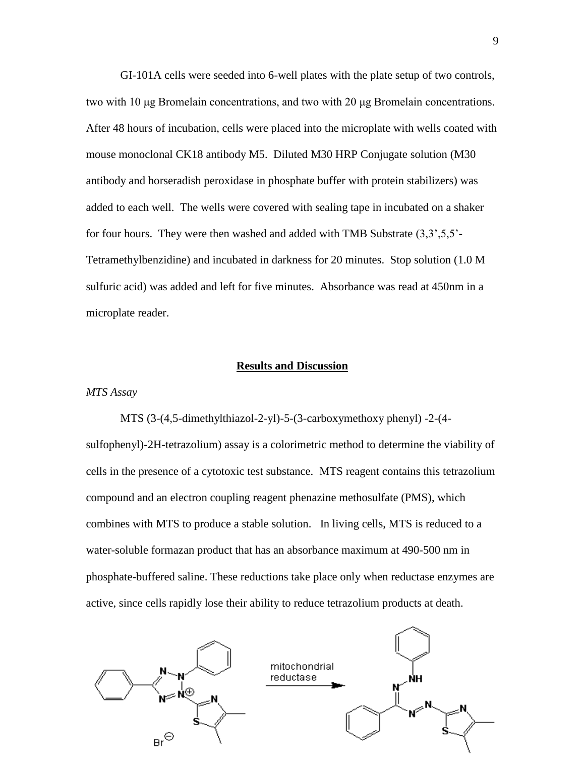GI-101A cells were seeded into 6-well plates with the plate setup of two controls, two with 10 μg Bromelain concentrations, and two with 20 μg Bromelain concentrations. After 48 hours of incubation, cells were placed into the microplate with wells coated with mouse monoclonal CK18 antibody M5. Diluted M30 HRP Conjugate solution (M30 antibody and horseradish peroxidase in phosphate buffer with protein stabilizers) was added to each well. The wells were covered with sealing tape in incubated on a shaker for four hours. They were then washed and added with TMB Substrate (3,3',5,5'- Tetramethylbenzidine) and incubated in darkness for 20 minutes. Stop solution (1.0 M sulfuric acid) was added and left for five minutes. Absorbance was read at 450nm in a microplate reader.

#### **Results and Discussion**

#### *MTS Assay*

MTS (3-(4,5-dimethylthiazol-2-yl)-5-(3-carboxymethoxy phenyl) -2-(4 sulfophenyl)-2H-tetrazolium) assay is a colorimetric method to determine the viability of cells in the presence of a cytotoxic test substance. MTS reagent contains this tetrazolium compound and an electron coupling reagent phenazine methosulfate (PMS), which combines with MTS to produce a stable solution. In living cells, MTS is reduced to a water-soluble formazan product that has an absorbance maximum at 490-500 nm in phosphate-buffered saline. These reductions take place only when reductase enzymes are active, since cells rapidly lose their ability to reduce tetrazolium products at death.

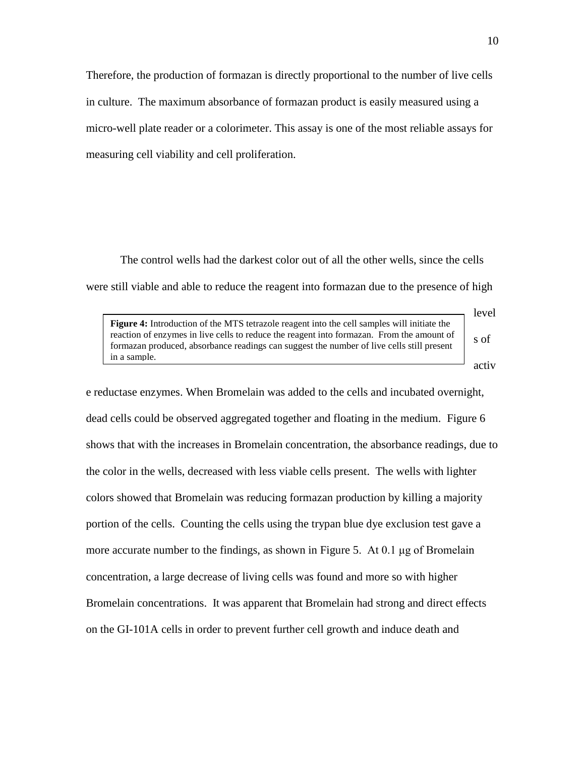Therefore, the production of formazan is directly proportional to the number of live cells in culture. The maximum absorbance of formazan product is easily measured using a micro-well plate reader or a colorimeter. This assay is one of the most reliable assays for measuring cell viability and cell proliferation.

The control wells had the darkest color out of all the other wells, since the cells were still viable and able to reduce the reagent into formazan due to the presence of high

**Figure 4:** Introduction of the MTS tetrazole reagent into the cell samples will initiate the reaction of enzymes in live cells to reduce the reagent into formazan. From the amount of formazan produced, absorbance readings can suggest the number of live cells still present in a sample.

activ

s of

level

e reductase enzymes. When Bromelain was added to the cells and incubated overnight, dead cells could be observed aggregated together and floating in the medium. Figure 6 shows that with the increases in Bromelain concentration, the absorbance readings, due to the color in the wells, decreased with less viable cells present. The wells with lighter colors showed that Bromelain was reducing formazan production by killing a majority portion of the cells. Counting the cells using the trypan blue dye exclusion test gave a more accurate number to the findings, as shown in Figure 5. At 0.1  $\mu$ g of Bromelain concentration, a large decrease of living cells was found and more so with higher Bromelain concentrations. It was apparent that Bromelain had strong and direct effects on the GI-101A cells in order to prevent further cell growth and induce death and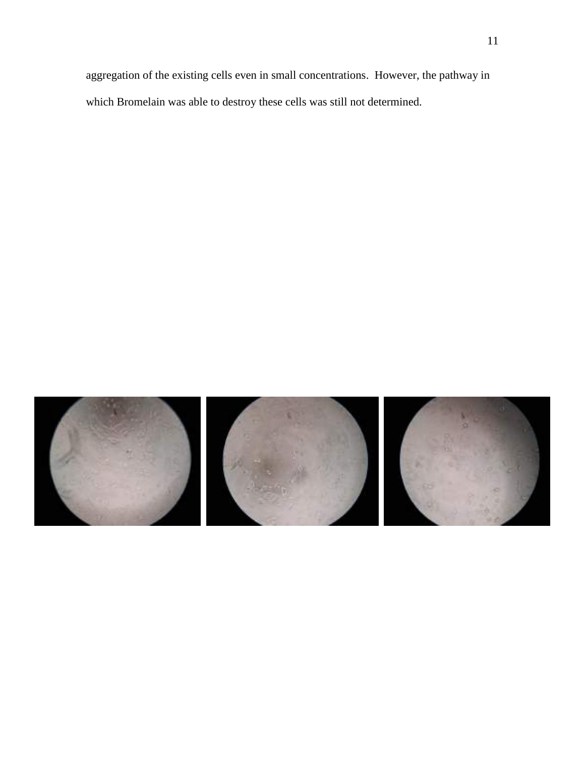aggregation of the existing cells even in small concentrations. However, the pathway in which Bromelain was able to destroy these cells was still not determined.

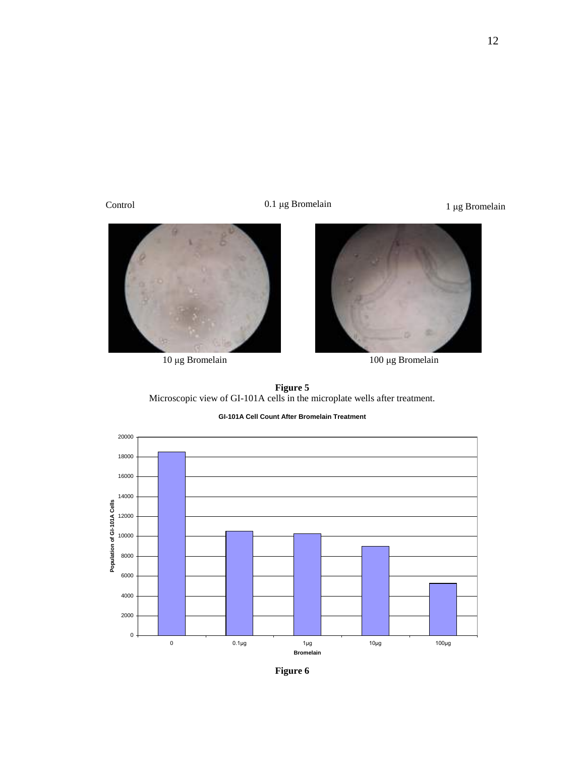Control

0.1 μg Bromelain 1 μg Bromelain





μg Bromelain 100 μg Bromelain

**Figure 5** Microscopic view of GI-101A cells in the microplate wells after treatment.

**GI-101A Cell Count After Bromelain Treatment**



**Figure 6**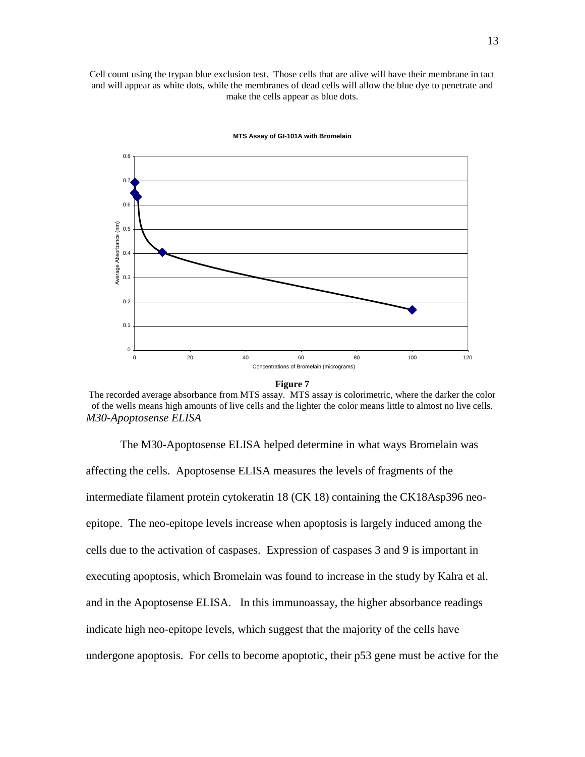Cell count using the trypan blue exclusion test. Those cells that are alive will have their membrane in tact and will appear as white dots, while the membranes of dead cells will allow the blue dye to penetrate and make the cells appear as blue dots.



#### **MTS Assay of GI-101A with Bromelain**



The recorded average absorbance from MTS assay. MTS assay is colorimetric, where the darker the color of the wells means high amounts of live cells and the lighter the color means little to almost no live cells. *M30-Apoptosense ELISA*

The M30-Apoptosense ELISA helped determine in what ways Bromelain was affecting the cells. Apoptosense ELISA measures the levels of fragments of the intermediate filament protein cytokeratin 18 (CK 18) containing the CK18Asp396 neoepitope. The neo-epitope levels increase when apoptosis is largely induced among the cells due to the activation of caspases. Expression of caspases 3 and 9 is important in executing apoptosis, which Bromelain was found to increase in the study by Kalra et al. and in the Apoptosense ELISA. In this immunoassay, the higher absorbance readings indicate high neo-epitope levels, which suggest that the majority of the cells have undergone apoptosis. For cells to become apoptotic, their p53 gene must be active for the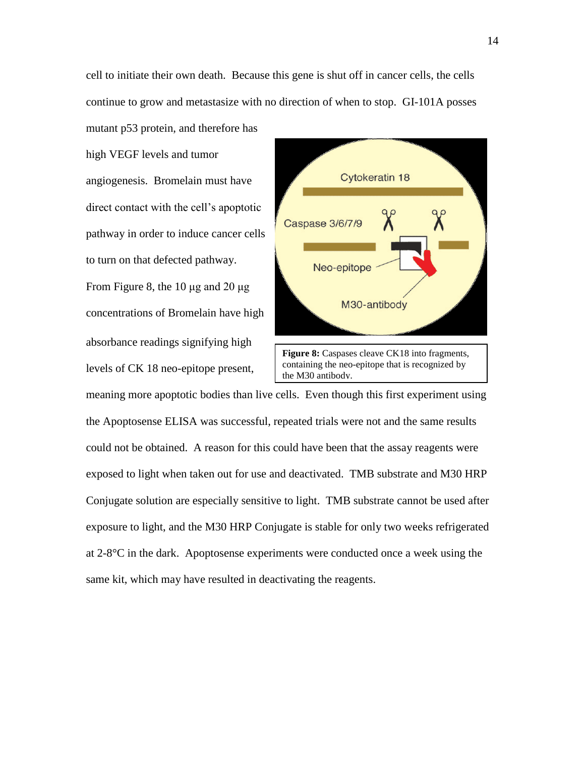cell to initiate their own death. Because this gene is shut off in cancer cells, the cells continue to grow and metastasize with no direction of when to stop. GI-101A posses

high VEGF levels and tumor angiogenesis. Bromelain must have direct contact with the cell's apoptotic pathway in order to induce cancer cells to turn on that defected pathway. From Figure 8, the 10  $\mu$ g and 20  $\mu$ g concentrations of Bromelain have high absorbance readings signifying high levels of CK 18 neo-epitope present,

mutant p53 protein, and therefore has



meaning more apoptotic bodies than live cells. Even though this first experiment using the Apoptosense ELISA was successful, repeated trials were not and the same results could not be obtained. A reason for this could have been that the assay reagents were exposed to light when taken out for use and deactivated. TMB substrate and M30 HRP Conjugate solution are especially sensitive to light. TMB substrate cannot be used after exposure to light, and the M30 HRP Conjugate is stable for only two weeks refrigerated at 2-8°C in the dark. Apoptosense experiments were conducted once a week using the same kit, which may have resulted in deactivating the reagents.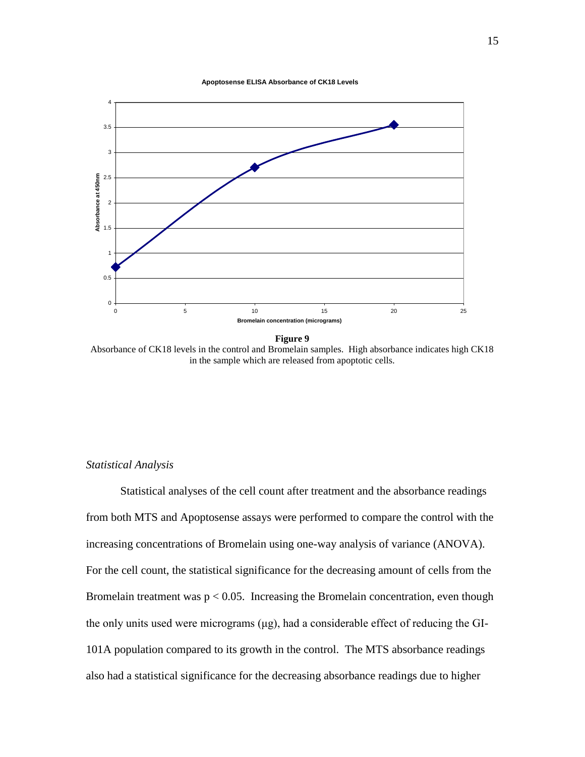



**Figure 9**

Absorbance of CK18 levels in the control and Bromelain samples. High absorbance indicates high CK18 in the sample which are released from apoptotic cells.

#### *Statistical Analysis*

Statistical analyses of the cell count after treatment and the absorbance readings from both MTS and Apoptosense assays were performed to compare the control with the increasing concentrations of Bromelain using one-way analysis of variance (ANOVA). For the cell count, the statistical significance for the decreasing amount of cells from the Bromelain treatment was  $p < 0.05$ . Increasing the Bromelain concentration, even though the only units used were micrograms (μg), had a considerable effect of reducing the GI-101A population compared to its growth in the control. The MTS absorbance readings also had a statistical significance for the decreasing absorbance readings due to higher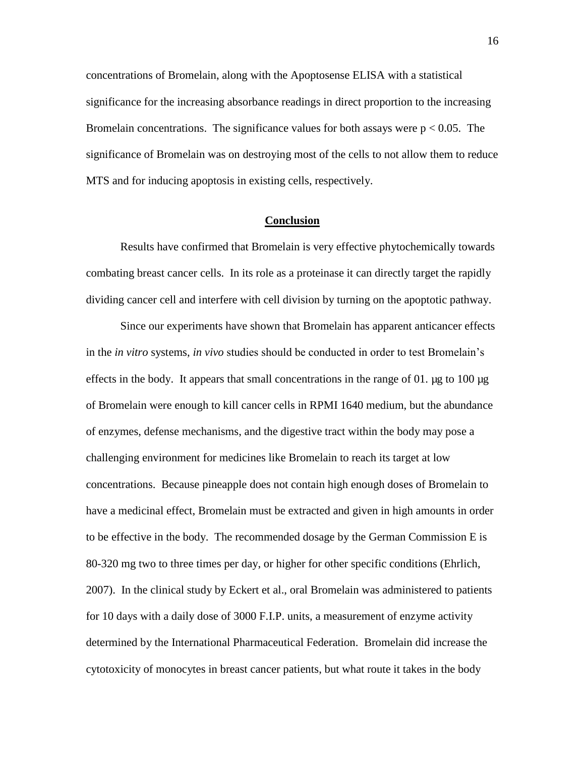concentrations of Bromelain, along with the Apoptosense ELISA with a statistical significance for the increasing absorbance readings in direct proportion to the increasing Bromelain concentrations. The significance values for both assays were  $p < 0.05$ . The significance of Bromelain was on destroying most of the cells to not allow them to reduce MTS and for inducing apoptosis in existing cells, respectively.

#### **Conclusion**

Results have confirmed that Bromelain is very effective phytochemically towards combating breast cancer cells. In its role as a proteinase it can directly target the rapidly dividing cancer cell and interfere with cell division by turning on the apoptotic pathway.

Since our experiments have shown that Bromelain has apparent anticancer effects in the *in vitro* systems, *in vivo* studies should be conducted in order to test Bromelain's effects in the body. It appears that small concentrations in the range of 01.  $\mu$ g to 100  $\mu$ g of Bromelain were enough to kill cancer cells in RPMI 1640 medium, but the abundance of enzymes, defense mechanisms, and the digestive tract within the body may pose a challenging environment for medicines like Bromelain to reach its target at low concentrations. Because pineapple does not contain high enough doses of Bromelain to have a medicinal effect, Bromelain must be extracted and given in high amounts in order to be effective in the body. The recommended dosage by the German Commission E is 80-320 mg two to three times per day, or higher for other specific conditions (Ehrlich, 2007). In the clinical study by Eckert et al., oral Bromelain was administered to patients for 10 days with a daily dose of 3000 F.I.P. units, a measurement of enzyme activity determined by the International Pharmaceutical Federation. Bromelain did increase the cytotoxicity of monocytes in breast cancer patients, but what route it takes in the body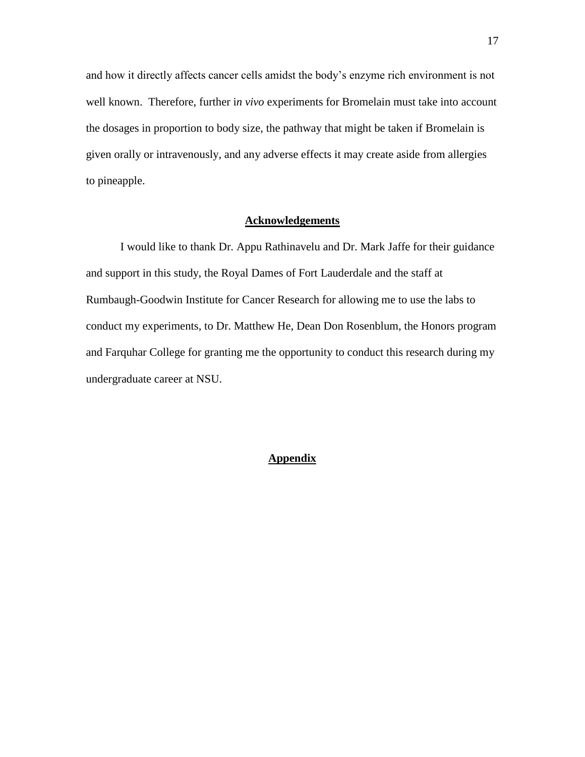and how it directly affects cancer cells amidst the body's enzyme rich environment is not well known. Therefore, further i*n vivo* experiments for Bromelain must take into account the dosages in proportion to body size, the pathway that might be taken if Bromelain is given orally or intravenously, and any adverse effects it may create aside from allergies to pineapple.

#### **Acknowledgements**

I would like to thank Dr. Appu Rathinavelu and Dr. Mark Jaffe for their guidance and support in this study, the Royal Dames of Fort Lauderdale and the staff at Rumbaugh-Goodwin Institute for Cancer Research for allowing me to use the labs to conduct my experiments, to Dr. Matthew He, Dean Don Rosenblum, the Honors program and Farquhar College for granting me the opportunity to conduct this research during my undergraduate career at NSU.

#### **Appendix**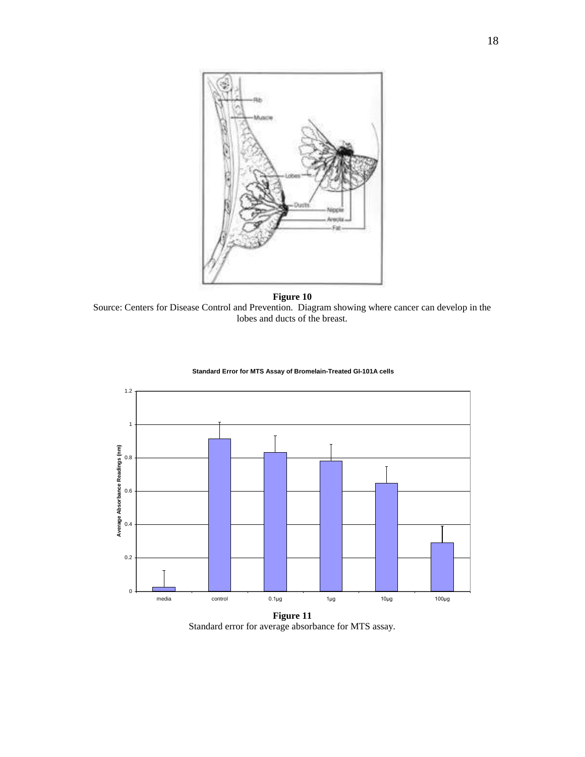

**Figure 10**

Source: Centers for Disease Control and Prevention. Diagram showing where cancer can develop in the lobes and ducts of the breast.



 **Standard Error for MTS Assay of Bromelain-Treated GI-101A cells**

Standard error for average absorbance for MTS assay.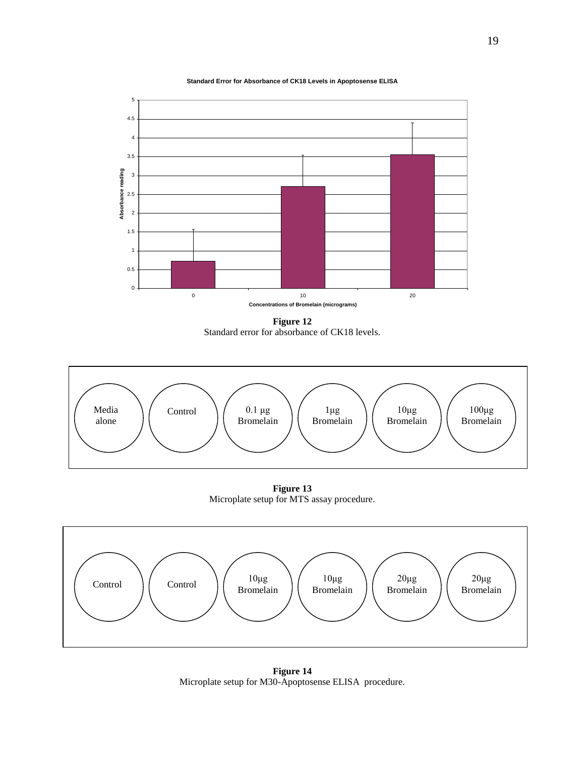**Standard Error for Absorbance of CK18 Levels in Apoptosense ELISA**



**Figure 12** Standard error for absorbance of CK18 levels.



**Figure 13** Microplate setup for MTS assay procedure.



**Figure 14** Microplate setup for M30-Apoptosense ELISA procedure.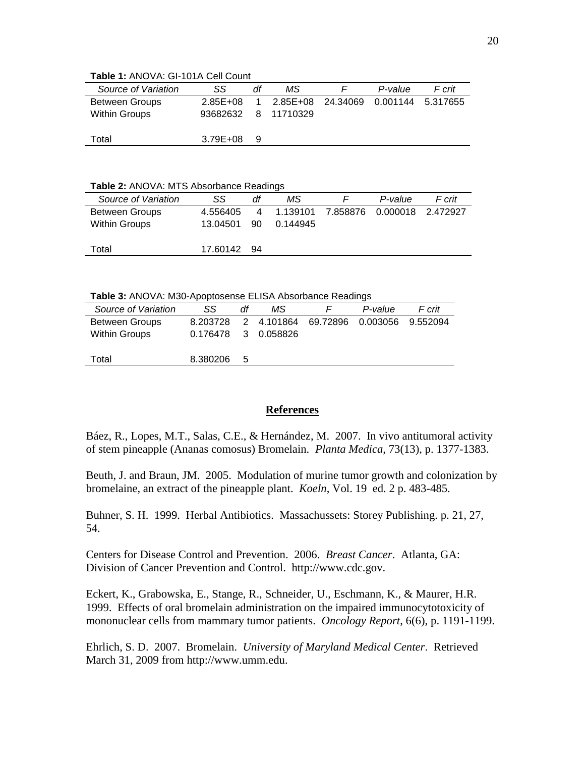| Source of Variation   | SS                  | df | ΜS |                                     | P-value | F crit |
|-----------------------|---------------------|----|----|-------------------------------------|---------|--------|
| <b>Between Groups</b> | $2.85E + 08$        | 1  |    | 2.85E+08 24.34069 0.001144 5.317655 |         |        |
| Within Groups         | 93682632 8 11710329 |    |    |                                     |         |        |
|                       |                     |    |    |                                     |         |        |
| Total                 | $3.79E + 08$        | 9  |    |                                     |         |        |

**Table 1:** ANOVA: GI-101A Cell Count

**Table 2:** ANOVA: MTS Absorbance Readings

| F crit<br>P-value          | ΜS       | df | SS          | Source of Variation   |
|----------------------------|----------|----|-------------|-----------------------|
| 7.858876 0.000018 2.472927 | 1.139101 | 4  | 4.556405    | <b>Between Groups</b> |
|                            | 0.144945 | 90 | 13.04501    | Within Groups         |
|                            |          |    |             |                       |
|                            |          |    | 17.60142 94 | Total                 |
|                            |          |    |             |                       |

**Table 3:** ANOVA: M30-Apoptosense ELISA Absorbance Readings

| Source of Variation   | SS.                 | df | ΜS |                              | P-value | F crit   |
|-----------------------|---------------------|----|----|------------------------------|---------|----------|
| <b>Between Groups</b> | 8.203728            |    |    | 2 4.101864 69.72896 0.003056 |         | 9.552094 |
| <b>Within Groups</b>  | 0.176478 3 0.058826 |    |    |                              |         |          |
|                       |                     |    |    |                              |         |          |
| Total                 | 8.380206            | 5  |    |                              |         |          |
|                       |                     |    |    |                              |         |          |

### **References**

Báez, R., Lopes, M.T., Salas, C.E., & Hernández, M. 2007. In vivo antitumoral activity of stem pineapple (Ananas comosus) Bromelain. *Planta Medica*, 73(13), p. 1377-1383.

Beuth, J. and Braun, JM. 2005. Modulation of murine tumor growth and colonization by bromelaine, an extract of the pineapple plant. *Koeln*, Vol. 19 ed. 2 p. 483-485.

Buhner, S. H. 1999. Herbal Antibiotics. Massachussets: Storey Publishing. p. 21, 27, 54.

Centers for Disease Control and Prevention. 2006. *Breast Cancer*. Atlanta, GA: Division of Cancer Prevention and Control. http://www.cdc.gov.

Eckert, K., Grabowska, E., Stange, R., Schneider, U., Eschmann, K., & Maurer, H.R. 1999. Effects of oral bromelain administration on the impaired immunocytotoxicity of mononuclear cells from mammary tumor patients. *Oncology Report*, 6(6), p. 1191-1199.

Ehrlich, S. D. 2007. Bromelain. *University of Maryland Medical Center*. Retrieved March 31, 2009 from http://www.umm.edu.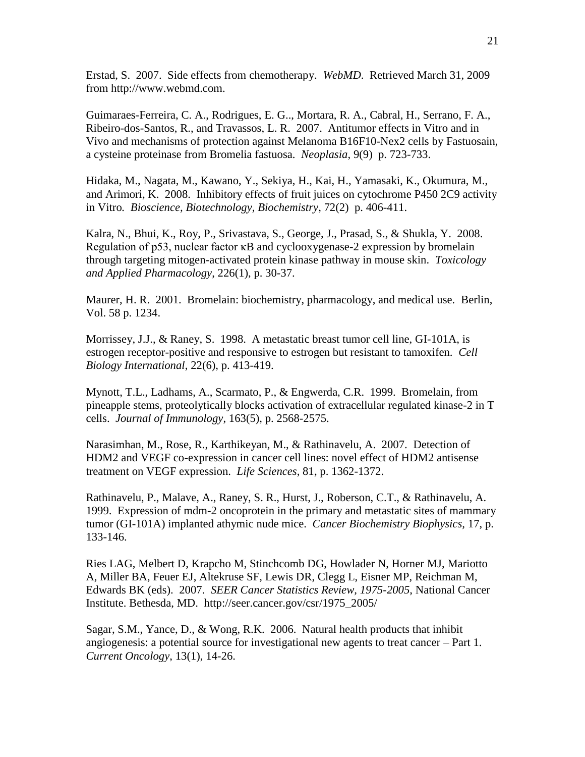Erstad, S. 2007. Side effects from chemotherapy. *WebMD*. Retrieved March 31, 2009 from http://www.webmd.com.

Guimaraes-Ferreira, C. A., Rodrigues, E. G.., Mortara, R. A., Cabral, H., Serrano, F. A., Ribeiro-dos-Santos, R., and Travassos, L. R. 2007. Antitumor effects in Vitro and in Vivo and mechanisms of protection against Melanoma B16F10-Nex2 cells by Fastuosain, a cysteine proteinase from Bromelia fastuosa. *Neoplasia*, 9(9) p. 723-733.

Hidaka, M., Nagata, M., Kawano, Y., Sekiya, H., Kai, H., Yamasaki, K., Okumura, M., and Arimori, K. 2008. Inhibitory effects of fruit juices on cytochrome P450 2C9 activity in Vitro*. Bioscience, Biotechnology, Biochemistry*, 72(2) p. 406-411.

Kalra, N., Bhui, K., Roy, P., Srivastava, S., George, J., Prasad, S., & Shukla, Y. 2008. Regulation of p53, nuclear factor κB and cyclooxygenase-2 expression by bromelain through targeting mitogen-activated protein kinase pathway in mouse skin. *Toxicology and Applied Pharmacology*, 226(1), p. 30-37.

Maurer, H. R. 2001. Bromelain: biochemistry, pharmacology, and medical use*.* Berlin, Vol. 58 p. 1234.

Morrissey, J.J., & Raney, S. 1998. A metastatic breast tumor cell line, GI-101A, is estrogen receptor-positive and responsive to estrogen but resistant to tamoxifen. *Cell Biology International*, 22(6), p. 413-419.

Mynott, T.L., Ladhams, A., Scarmato, P., & Engwerda, C.R. 1999. Bromelain, from pineapple stems, proteolytically blocks activation of extracellular regulated kinase-2 in T cells. *Journal of Immunology*, 163(5), p. 2568-2575.

Narasimhan, M., Rose, R., Karthikeyan, M., & Rathinavelu, A. 2007. Detection of HDM2 and VEGF co-expression in cancer cell lines: novel effect of HDM2 antisense treatment on VEGF expression. *Life Sciences*, 81, p. 1362-1372.

Rathinavelu, P., Malave, A., Raney, S. R., Hurst, J., Roberson, C.T., & Rathinavelu, A. 1999. Expression of mdm-2 oncoprotein in the primary and metastatic sites of mammary tumor (GI-101A) implanted athymic nude mice. *Cancer Biochemistry Biophysics,* 17, p. 133-146.

Ries LAG, Melbert D, Krapcho M, Stinchcomb DG, Howlader N, Horner MJ, Mariotto A, Miller BA, Feuer EJ, Altekruse SF, Lewis DR, Clegg L, Eisner MP, Reichman M, Edwards BK (eds). 2007. *SEER Cancer Statistics Review, 1975-2005*, National Cancer Institute. Bethesda, MD. http://seer.cancer.gov/csr/1975\_2005/

Sagar, S.M., Yance, D., & Wong, R.K. 2006. Natural health products that inhibit angiogenesis: a potential source for investigational new agents to treat cancer – Part 1. *Current Oncology*, 13(1), 14-26.